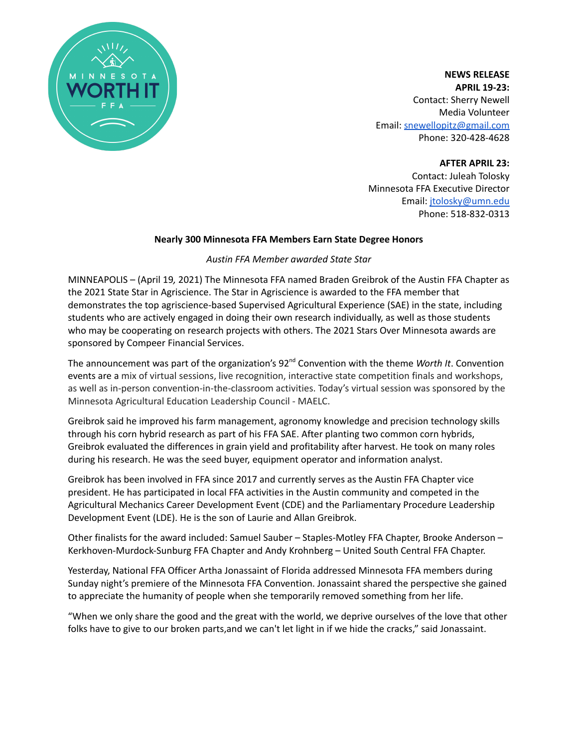

**NEWS RELEASE APRIL 19-23:** Contact: Sherry Newell Media Volunteer Email: [snewellopitz@gmail.com](mailto:snewellopitz@gmail.com) Phone: 320-428-4628

**AFTER APRIL 23:**

Contact: Juleah Tolosky Minnesota FFA Executive Director Email: [jtolosky@umn.edu](mailto:jtolosky@umn.edu) Phone: 518-832-0313

# **Nearly 300 Minnesota FFA Members Earn State Degree Honors**

# *Austin FFA Member awarded State Star*

MINNEAPOLIS – (April 19*,* 2021) The Minnesota FFA named Braden Greibrok of the Austin FFA Chapter as the 2021 State Star in Agriscience. The Star in Agriscience is awarded to the FFA member that demonstrates the top agriscience-based Supervised Agricultural Experience (SAE) in the state, including students who are actively engaged in doing their own research individually, as well as those students who may be cooperating on research projects with others. The 2021 Stars Over Minnesota awards are sponsored by Compeer Financial Services.

The announcement was part of the organization's 92<sup>nd</sup> Convention with the theme *Worth It*. Convention events are a mix of virtual sessions, live recognition, interactive state competition finals and workshops, as well as in-person convention-in-the-classroom activities. Today's virtual session was sponsored by the Minnesota Agricultural Education Leadership Council - MAELC.

Greibrok said he improved his farm management, agronomy knowledge and precision technology skills through his corn hybrid research as part of his FFA SAE. After planting two common corn hybrids, Greibrok evaluated the differences in grain yield and profitability after harvest. He took on many roles during his research. He was the seed buyer, equipment operator and information analyst.

Greibrok has been involved in FFA since 2017 and currently serves as the Austin FFA Chapter vice president. He has participated in local FFA activities in the Austin community and competed in the Agricultural Mechanics Career Development Event (CDE) and the Parliamentary Procedure Leadership Development Event (LDE). He is the son of Laurie and Allan Greibrok.

Other finalists for the award included: Samuel Sauber – Staples-Motley FFA Chapter, Brooke Anderson – Kerkhoven-Murdock-Sunburg FFA Chapter and Andy Krohnberg – United South Central FFA Chapter.

Yesterday, National FFA Officer Artha Jonassaint of Florida addressed Minnesota FFA members during Sunday night's premiere of the Minnesota FFA Convention. Jonassaint shared the perspective she gained to appreciate the humanity of people when she temporarily removed something from her life.

"When we only share the good and the great with the world, we deprive ourselves of the love that other folks have to give to our broken parts,and we can't let light in if we hide the cracks," said Jonassaint.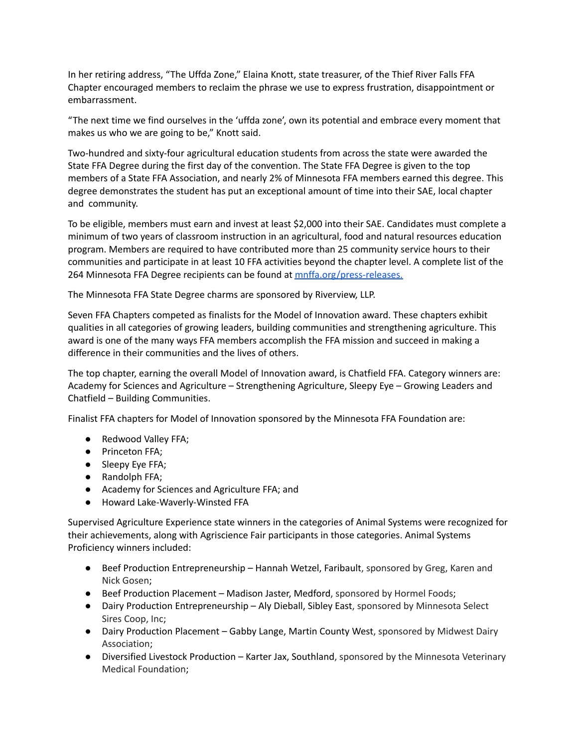In her retiring address, "The Uffda Zone," Elaina Knott, state treasurer, of the Thief River Falls FFA Chapter encouraged members to reclaim the phrase we use to express frustration, disappointment or embarrassment.

"The next time we find ourselves in the 'uffda zone', own its potential and embrace every moment that makes us who we are going to be," Knott said.

Two-hundred and sixty-four agricultural education students from across the state were awarded the State FFA Degree during the first day of the convention. The State FFA Degree is given to the top members of a State FFA Association, and nearly 2% of Minnesota FFA members earned this degree. This degree demonstrates the student has put an exceptional amount of time into their SAE, local chapter and community.

To be eligible, members must earn and invest at least \$2,000 into their SAE. Candidates must complete a minimum of two years of classroom instruction in an agricultural, food and natural resources education program. Members are required to have contributed more than 25 community service hours to their communities and participate in at least 10 FFA activities beyond the chapter level. A complete list of the 264 Minnesota FFA Degree recipients can be found at [mnffa.org/press-releases.](https://www.mnffa.org/press-releases)

The Minnesota FFA State Degree charms are sponsored by Riverview, LLP.

Seven FFA Chapters competed as finalists for the Model of Innovation award. These chapters exhibit qualities in all categories of growing leaders, building communities and strengthening agriculture. This award is one of the many ways FFA members accomplish the FFA mission and succeed in making a difference in their communities and the lives of others.

The top chapter, earning the overall Model of Innovation award, is Chatfield FFA. Category winners are: Academy for Sciences and Agriculture – Strengthening Agriculture, Sleepy Eye – Growing Leaders and Chatfield – Building Communities.

Finalist FFA chapters for Model of Innovation sponsored by the Minnesota FFA Foundation are:

- Redwood Valley FFA;
- Princeton FFA;
- Sleepy Eye FFA;
- Randolph FFA;
- Academy for Sciences and Agriculture FFA; and
- Howard Lake-Waverly-Winsted FFA

Supervised Agriculture Experience state winners in the categories of Animal Systems were recognized for their achievements, along with Agriscience Fair participants in those categories. Animal Systems Proficiency winners included:

- Beef Production Entrepreneurship Hannah Wetzel, Faribault, sponsored by Greg, Karen and Nick Gosen;
- Beef Production Placement Madison Jaster, Medford, sponsored by Hormel Foods;
- Dairy Production Entrepreneurship Aly Dieball, Sibley East, sponsored by Minnesota Select Sires Coop, Inc;
- Dairy Production Placement Gabby Lange, Martin County West, sponsored by Midwest Dairy Association;
- Diversified Livestock Production Karter Jax, Southland, sponsored by the Minnesota Veterinary Medical Foundation;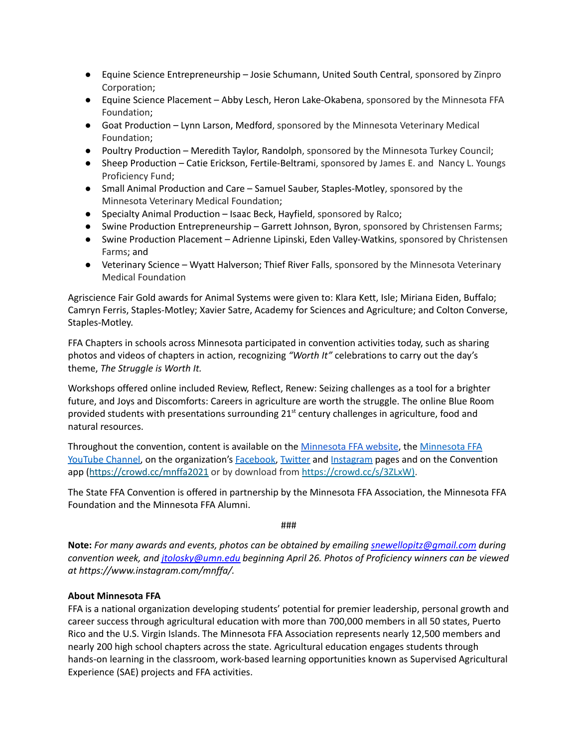- Equine Science Entrepreneurship Josie Schumann, United South Central, sponsored by Zinpro Corporation;
- Equine Science Placement Abby Lesch, Heron Lake-Okabena, sponsored by the Minnesota FFA Foundation;
- Goat Production Lynn Larson, Medford, sponsored by the Minnesota Veterinary Medical Foundation;
- Poultry Production Meredith Taylor, Randolph, sponsored by the Minnesota Turkey Council;
- Sheep Production Catie Erickson, Fertile-Beltrami, sponsored by James E. and Nancy L. Youngs Proficiency Fund;
- Small Animal Production and Care Samuel Sauber, Staples-Motley, sponsored by the Minnesota Veterinary Medical Foundation;
- Specialty Animal Production Isaac Beck, Hayfield, sponsored by Ralco;
- Swine Production Entrepreneurship Garrett Johnson, Byron, sponsored by Christensen Farms;
- Swine Production Placement Adrienne Lipinski, Eden Valley-Watkins, sponsored by Christensen Farms; and
- Veterinary Science Wyatt Halverson; Thief River Falls, sponsored by the Minnesota Veterinary Medical Foundation

Agriscience Fair Gold awards for Animal Systems were given to: Klara Kett, Isle; Miriana Eiden, Buffalo; Camryn Ferris, Staples-Motley; Xavier Satre, Academy for Sciences and Agriculture; and Colton Converse, Staples-Motley.

FFA Chapters in schools across Minnesota participated in convention activities today, such as sharing photos and videos of chapters in action, recognizing *"Worth It"* celebrations to carry out the day's theme, *The Struggle is Worth It.*

Workshops offered online included Review, Reflect, Renew: Seizing challenges as a tool for a brighter future, and Joys and Discomforts: Careers in agriculture are worth the struggle. The online Blue Room provided students with presentations surrounding 21<sup>st</sup> century challenges in agriculture, food and natural resources.

Throughout the convention, content is available on the [Minnesota](https://www.mnffa.org/) FFA website, the [Minnesota](https://www.youtube.com/user/minnesotaffa) FFA [YouTube](https://www.youtube.com/user/minnesotaffa) Channel, on the organization's **Facebook**, [Twitter](https://twitter.com/MNFFA) and [Instagram](https://www.instagram.com/mnffa/) pages and on the Convention app (https://crowd.cc/mnffa2021 or by download from <https://crowd.cc/s/3ZLxW>).

The State FFA Convention is offered in partnership by the Minnesota FFA Association, the Minnesota FFA Foundation and the Minnesota FFA Alumni.

###

**Note:** *For many awards and events, photos can be obtained by emailing [snewellopitz@gmail.com](mailto:snewellopitz@gmail.com) during convention week, and [jtolosky@umn.edu](mailto:jtolosky@umn.edu) beginning April 26. Photos of Proficiency winners can be viewed at https://www.instagram.com/mnffa/.*

# **About Minnesota FFA**

FFA is a national organization developing students' potential for premier leadership, personal growth and career success through agricultural education with more than 700,000 members in all 50 states, Puerto Rico and the U.S. Virgin Islands. The Minnesota FFA Association represents nearly 12,500 members and nearly 200 high school chapters across the state. Agricultural education engages students through hands-on learning in the classroom, work-based learning opportunities known as Supervised Agricultural Experience (SAE) projects and FFA activities.